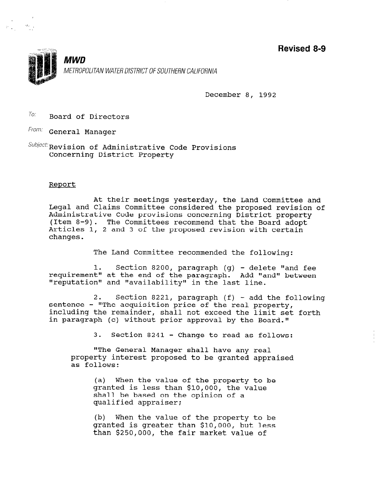Revised 8-9



December 8, 1992

 $\frac{T_{0}}{T}$  Board of Directors

From: General Manager

 $Subject:$  Revision of Administrative Code Provisions Concerning District Property

# Renort

At their meetings yesterday, the Land Committee and Legal and Claims Committee considered the proposed revision of Administrative Code provisions concerning District property (Item 8-9). The Committees recommend that the Board adopt Articles 1, 2 and 3 of the proposed revision with certain changes.

The Land Committee recommended the following:

1. Section 8200, paragraph (q) - delete "and fee requirement" at the end of the paragraph. Add "and" between "reputation" and "availability" in the last line.

2. Section 8221, paragraph (f) - add the following sentence - "The acquisition price of the real property, including the remainder, shall not exceed the limit set forth in paragraph (c) without prior approval by the Board."

3. Section 8241 - Change to read as follows:

"The General Manager shall have any real property interest proposed to be granted appraised as follows:

(a) When the value of the property to be granted is less than \$10,000, the value granced is less chan slo,000, the v shall be based on<br>enalified approxim

 $(b)$  When the value of the property to be (b) when the value of the property to be granted is greater than \$10,000, but less<br>than \$250,000, the fair market value of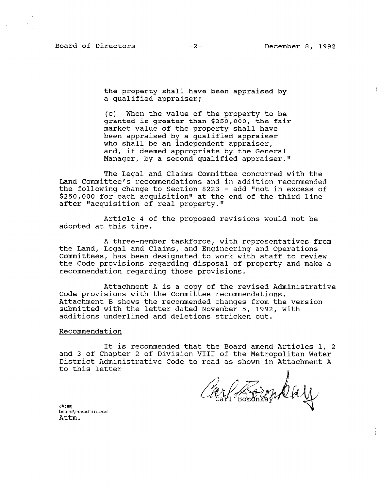Board of Directors -2- December 8, 1992

the property shall have been appraised by a qualified appraiser;

(c) When the value of the property to be granted is greater than \$250,000, the fair market value of the property shall have been appraised by a qualified appraiser who shall be an independent appraiser, and, if deemed appropriate by the General Manager, by a second qualified appraiser."

The Legal and Claims Committee concurred with the Land Committee's recommendations and in addition recommended the following change to Section 8223 - add "not in excess of \$250,000 for each acquisition" at the end of the third line after "acquisition of real property."

Article 4 of the proposed revisions would not be adopted at this time.

A three-member taskforce, with representatives from the Land, Legal and Claims, and Engineering and Operations Committees, has been designated to work with staff to review the Code provisions regarding disposal of property and make a recommendation regarding those provisions.

Attachment A is a copy of the revised Administrative Code provisions with the Committee recommendations. Attachment B shows the recommended changes from the version submitted with the letter dated November 5, 1992, with additions underlined and deletions stricken out.

#### Recommendation

It is recommended that the Board amend Articles 1, 2 and 3 of Chapter 2 of Division VIII of the Metropolitan Water District Administrative Code to read as shown in Attachment A pistilet Administrative code to lead as shown in Att.<br>to this letter

ler Boronkar Duy

JV:mg uv:my<br>board\revadm<br>Attm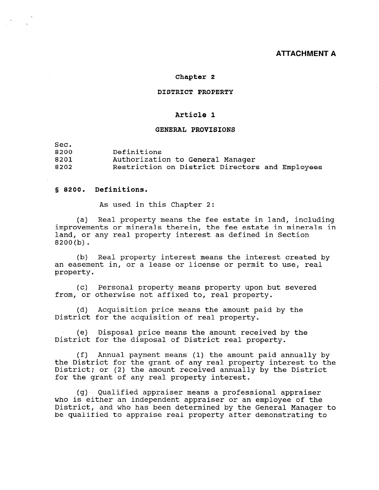# **ATTACHMENT A**

#### Chapter 2

#### DISTRICT PROPERTY

# Article 1

#### GENERAL PROVISIONS

Sec.

8200 Definitions

8201 8202 Authorization to General Manager Restriction on District Directors and Employees

# s 8200. Definit

As used in this Chapter 2:

 $(a)$ Real property means the fee estate in land, including improvements or minerals therein, the fee estate in minerals in land, or any real property interest as defined in Section 8200(b).

(b) Real property interest means the interest created by an easement in, or a lease or license or permit to use, real property.

(c) Personal property means property upon but severed from, or otherwise not affixed to, real property.

(d) Acquisition price means the amount paid by the District for the acquisition of real property.

(e) Disposal price means the amount received by the District for the disposal of District real property.

(f) Annual payment means (1) the amount paid annually by (1) Annual payment means (1) the amount paid annually by District; or (2) the amount received annually by the District pistrict; or (2) the amount received annu<br>for the grant of any real proporty interes

(g)  $\alpha$  and professional approximation approximation approximation approximation approximation approximation approximation approximation approximation approximation approximation approximation approximation approximation (g) Qualified appraiser means a professional appraiser) who is either an independent appraiser or an employee of the District, and who has been determined by the General Manager to be qualified to appraise real property after demonstrating to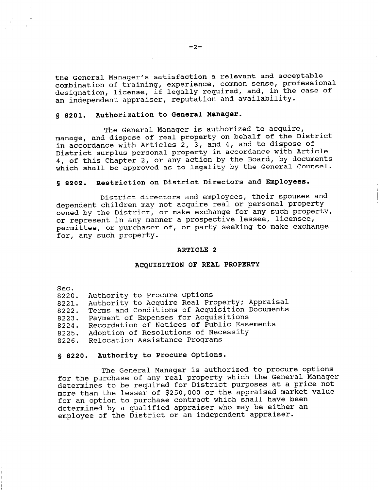the General Manager's satisfaction a relevant and acceptable combination of training, experience, common sense, professional designation, license, if legally required, and, in the case of an independent appraiser, reputation and availability.

# 5 8201. Authorization to General Manager.

The General Manager is authorized to acquire, manage, and dispose of real property on behalf of the District in accordance with Articles 2, 3, and 4, and to dispose of District surplus personal property in accordance with Article 4, of this Chapter 2, or any action by the Board, by documents which shall be approved as to legality by the General Counsel.

#### 5 8202. Restriction on District Directors and Employees.

District directors and employees, their spouses and dependent children may not acquire real or personal property owned by the District, or make exchange for any such property, or represent in any manner a prospective lessee, licensee, permittee, or purchaser of, or party seeking to make exchange for, any such property.

#### ARTICLE 2

#### ACQUISITION OF REAL PROPERTY

Sec.

| . |                                    |  |  |
|---|------------------------------------|--|--|
|   | 8220. Authority to Procure Options |  |  |

8221. Authority to Acquire Real Property; Appraisal

8222. Terms and Conditions of Acquisition Documents

8223. Payment of Expenses for Acquisitions

8224. Recordation of Notices of Public Easements

8225. Adoption of Resolutions of Necessity

8226. Relocation Assistance Programs

#### 5 8220. Authority to Procure Options.

The General Manager is authorized to procure options for the purchase of any real property which the General Manager determines to be required for District purposes at a price not more than the lesser of \$250,000 or the appraised market value for an option to purchase contract which shall have been determined by a qualified appraiser who may be either an employee of the District or an independent appraiser.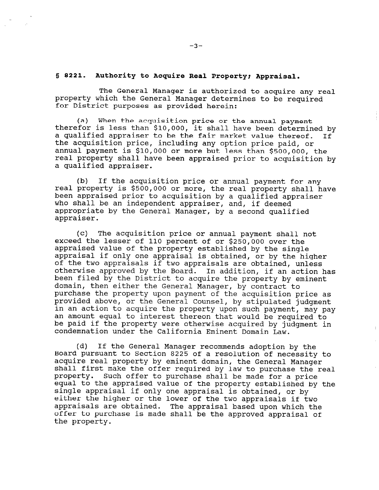## § 8221. Authority to Acquire Real Property; Appraisal.

The General Manager is authorized to acquire any real property which the General Manager determines to be required for District purposes as provided herein:

(a) When the acquisition price or the annual payment therefor is less than \$10,000, it shall have been determined by a qualified appraiser to be the fair market value thereof. If the acquisition price, including any option price paid, or annual payment is \$10,000 or more but less than \$500,000, the real property shall have been appraised prior to acquisition by a qualified appraiser.

(b) If the acquisition price or annual payment for any real property is \$500,000 or more, the real property shall have been appraised prior to acquisition by a qualified appraiser who shall be an independent appraiser, and, if deemed appropriate by the General Manager, by a second qualified appraiser.

(c) The acquisition price or annual payment shall not exceed the lesser of 110 percent of or \$250,000 over the appraised value of the property established by the single appraisal if only one appraisal is obtained, or by the higher of the two appraisals if two appraisals are obtained, unless otherwise approved by the Board. In addition, if an action has been filed by the District to acquire the property by eminent domain, then either the General Manager, by contract to purchase the property upon payment of the acquisition price as purchase the property upon payment of the acquisition price .<br>purchase the property upon payment of the acquisition price . provided above, or the General Counser, by stipulated judgment in an action to acquire the property upon such payment, may pay<br>an amount equal to interest thereon that would be required to be paid if the property were otherwise acquired by judgment in condemnation under the California Eminent Domain Law.

(d) If the General Manager recommends adoption by the (u) It the General Manager recommends adoption by the board pursuant to section 8225 or a resolution or necessity.<br>According real managers by eminent down the General Managers. acquire real property by eminent domain, the General Manager shall first make the offer required by law to purchase the real property. Such offer to purchase shall be made for a price equal to the appraised value of the property established by the single appraisal if only one appraisal is obtained, or by either the higher or the lower of the two appraisals if two appraisals are obtained. The appraisal based upon which the offer to purchase is made shall be the approved appraisal of<br>the property.

 $-3-$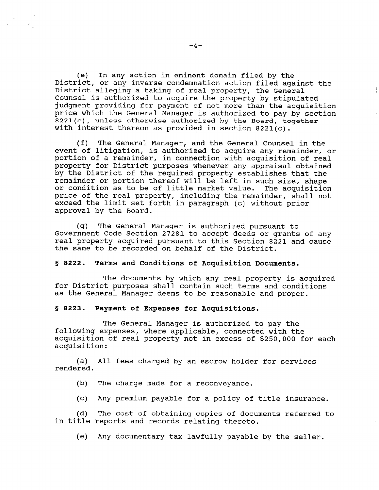(e) In any action in eminent domain filed by the District, or any inverse condemnation action filed against the District alleging a taking of real property, the General Counsel is authorized to acquire the property by stipulated judgment providing for payment of not more than the acquisition price which the General Manager is authorized to pay by section 8221(c), unless otherwise authorized by the Board, together with interest thereon as provided in section 8221(c).

(f) The General Manager, and the General Counsel in the event of litigation, is authorized to acquire any remainder, or portion of a remainder, in connection with acquisition of real property for District purposes whenever any appraisal obtained by the District of the required property establishes that the remainder or portion thereof will be left in such size, shape or condition as to be of little market value. The acquisition price of the real property, including the remainder, shall not exceed the limit set forth in paragraph (c) without prior approval by the Board.

(g) The General Manager is authorized pursuant to Government Code Section 27281 to accept deeds or grants of any real property acquired pursuant to this Section 8221 and cause the same to be recorded on behalf of the District.

#### § 8222. Terms and Conditions of Acquisition Documents.

The documents by which any real property is acquired for District purposes shall contain such terms and conditions as the General Manager deems to be reasonable and proper.

#### 5 8223. Payment of Expenses for Acquisitions.

The General Manager is authorized to pay the following expenses, where applicable, connected with the acquisition of real property not in excess of \$250,000 for each acquisition:

(a) All fees charged by an escrow holder for services rendered.

(b) The charge made for a reconveyance.

(c) Any premium payable for a policy of title insurance.

(d) The cost of obtaining copies of documents referred to in title reports and records relating thereto.

(e) Any documentary tax lawfully payable by the seller.

 $\frac{1}{2}$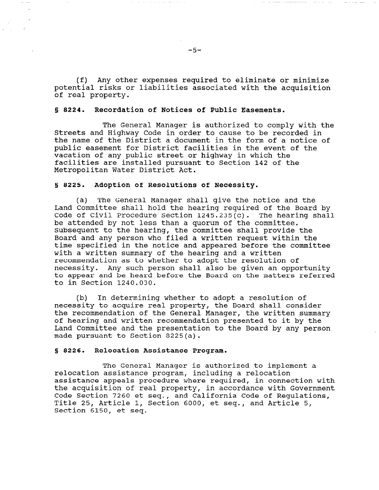(f) Any other expenses required to eliminate or minimize potential risks or liabilities associated with the acquisition of real property.

## 5 8224. Recordation of Notices of Public Easements.

The General Manager is authorized to comply with the Streets and Highway Code in order to cause to be recorded in the name of the District a document in the form of a notice of public easement for District facilities in the event of the vacation of any public street or highway in which the facilities are installed pursuant to Section 142 of the Metropolitan Water District Act.

## 5 8225. Adoption of Resolutions of Necessity.

(a) The General Manager shall give the notice and the Land Committee shall hold the hearing required of the Board by Code of Civil Procedure Section 1245.235(c). The hearing shall be attended by not less than a quorum of the committee. Subsequent to the hearing, the committee shall provide the Board and any person who filed a written request within the time specified in the notice and appeared before the committee with a written summary of the hearing and a written recommendation as to whether to adopt the resolution of necessity. Any such person shall also be given an opportunity to appear and be heard before the Board on the matters referred to in Section 1240.030.

(b) In determining whether to adopt a resolution of necessity to acquire real property, the Board shall consider the recommendation of the General Manager, the written summary of hearing and written recommendation presented to it by the Land Committee and the presentation to the Board by any person made pursuant to Section 8225(a).

### 5 8226. Relocation Assistance Program.

The General Manager is authorized to implement a relocation assistance program, including a relocation assistance appeals procedure where required, in connection with dssistance appears procedure where required, in connection with<br>the acquisition of real property, in accordance with Government Che acquisition of fear property, in accordance with Govern Code Section 7260 et seq., and California Code of Regulations,<br>Title 25, Article 1, Section 6000, et seq., and Article 5, Section 6150, et seq.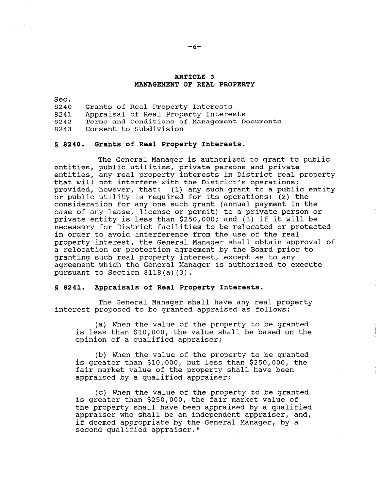## ARTICLE 3 MANAGEMENT OF REAL PROPERTY

Sec. 8240 Grants of Real Property Interests 8241 Appraisal of Real Property Interests 8242 Terms and Conditions of Management Documents 8243 Consent to Subdivision

#### 8 8240. Grants of Real Property Interests.

The General Manager is authorized to grant to public entities, public utilities, private persons and private entities, any real property interests in District real property that will not interfere with the District's operations; provided, however, that: (1) any such grant to a public entity or public utility is required for its operations; (2) the consideration for any one such grant (annual payment in the case of any lease, license or permit) to a private person or private entity is less than \$250,000; and (3) if it will be necessary for District facilities to be relocated or protected in order to avoid interference from the use of the real property interest, the General Manager shall obtain approval of a relocation or protection agreement by the Board prior to granting such real property interest, except as to any agreement which the General Manager is authorized to execute pursuant to Section 8118(a)(3).

#### 8 8241. Appraisals of Real Property Interests.

The General Manager shall have any real property interest proposed to be granted appraised as follows:

(a) When the value of the property to be granted is less than \$10,000, the value shall be based on the opinion of a qualified appraiser;

(b) When the value of the property to be granted is greater than \$10,000, but less than \$250,000, the fair market value of the property shall have been approperties and the properties approach approximation of the properties

(c)  $W$  when the value of the property to be granted c) when the value of the property to be grand<br>is greater than \$250,000, the fair market value of is greater than \$250,000, the fair market value of the property shall have been appraised by a qualified appraiser who shall be an independent appraiser, and, if deemed appropriate by the General Manager, by a second qualified appraiser."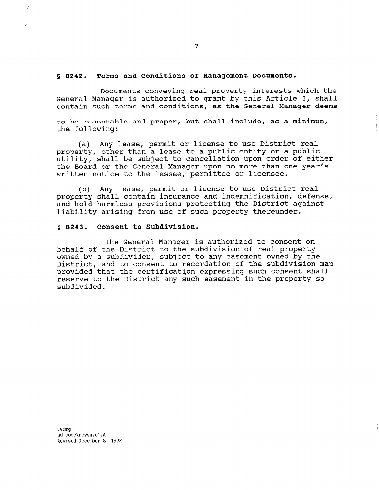### s, 0242. Terms and Conditions of Management Documents.

Documents conveying real property interests which the General Manager is authorized to grant by this Article 3, shall contain such terms and conditions, as the General Manager deems

to be reasonable and proper, but shall include, as a minimum, the following:

(a) Any lease, permit or license to use District real property, other than a lease to a public entity or a public utility, shall be subject to cancellation upon order of either the Board or the General Manager upon no more than one year's written notice to the lessee, permittee or licensee.

(b) Any lease, permit or license to use District real property shall contain insurance and indemnification, defense, and hold harmless provisions protecting the District against liability arising from use of such property thereunder.

# § 8243. Consent to Subdivision.

The General Manager is authorized to consent on behalf of the District to the subdivision of real property owned by a subdivider, subject to any easement owned by the District, and to consent to recordation of the subdivision map provided that the certification expressing such consent shall reserve to the District any such easement in the property so subdivided.

admanda. adilicode (revsa te i .A  $-7-$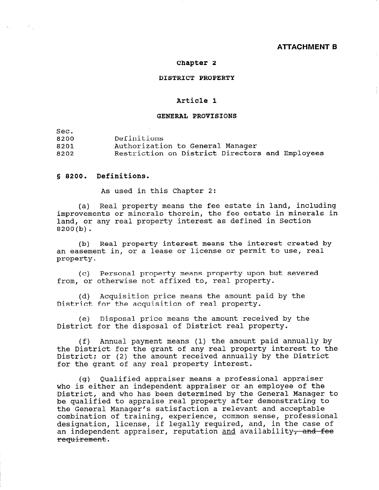## ATTACHMENT B

## Chapter 2

### DISTRICT PROPERTY

# Article 1

## GENERAL PROVISIONS

Sec.

8200 Definitions

8201 Authorization to General Manager

8202 Restriction on District Directors and Employees

# 8 8200. Definitions.

As used in this Chapter 2:

(a) Real property means the fee estate in land, including improvements or minerals therein, the fee estate in minerals in land, or any real property interest as defined in Section 8200(b).

(b) Real property interest means the interest created by an easement in, or a lease or license or permit to use, real property.

(c) Personal property means property upon but severed from, or otherwise not affixed to, real property.

(d) Acquisition price means the amount paid by the District for the acquisition of real property.

(e) Disposal price means the amount received by the District for the disposal of District real property.

(f) Annual payment means (1) the amount paid annually by the District for the grant of any real property interest to the District: On (2) the amount received annually by the District Control of the amount received annually by the Distr pistrict, or (2) the amount received annu

(g) Qualified appraiser means a professional appraiser who is either an independent appraiser or an employee of the who is either an independent appraiser or an employee of the bistrict, and who has been determined by the General Manager<br>has meelified to approxime weel property after demonstrating to the General Manager's satisfaction and acceptable models are controlled in the control of the control of the control of the control of the control of the control of the control of the control of the control of the control che General Manager's satisfaction a refevant and acceptable compination of training, experience, common sense, professional designation, license, if legally required, and, in the case of<br>exploration and convention approximation and speciality, and fact an independent appraiser, reputation and availability<del>, and fee</del><br>requirement.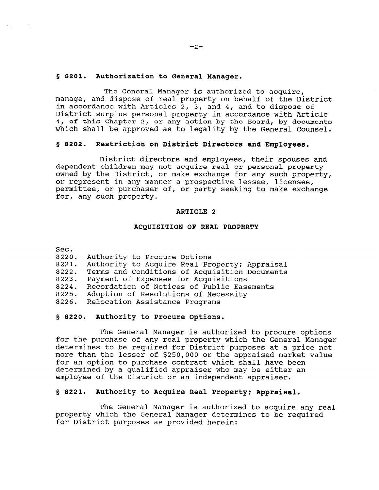## 5 8201. Authorization to General Manager.

The General Manager is authorized to acquire, manage, and dispose of real property on behalf of the District in accordance with Articles 2, 3, and 4, and to dispose of District surplus personal property in accordance with Article 4, of this Chapter 2, or any action by the Board, by documents which shall be approved as to legality by the General Counsel.

#### 5 8202. Restriction on District Directors and Employees.

District directors and employees, their spouses and dependent children may not acquire real or personal property owned by the District, or make exchange for any such property, or represent in any manner a prospective lessee, licensee, permittee, or purchaser of, or party seeking to make exchange for, any such property.

#### ARTICLE 2

## ACQUISITION OF REAL PROPERTY

Sec.

| ---- |                                    |  |  |
|------|------------------------------------|--|--|
|      | 8220. Authority to Procure Options |  |  |

- 8221. Authority to Acquire Real Property: Appraisal
- 8222. Terms and Conditions of Acquisition Documents
- 8223. Payment of Expenses for Acquisitions
- 8224. Recordation of Notices of Public Easements
- 8225. Adoption of Resolutions of Necessity
- 8226. Relocation Assistance Programs

## § 8220. Authority to Procure Options.

The General Manager is authorized to procure options for the purchase of any real property which the General Manager determines to be required for District purposes at a price not more than the lesser of \$250,000 or the approximate market value more than the resser or  $220,000$  or the appraised market determined by a smallfied approximate who may be either an decermined by a qualified appraiser who may be eit.

#### 5 8221. Authority to Acquire Real Property; Appraisal.

 $T_{\text{max}}$  General Manager is authorized to actual to acquire any real real real  $\alpha$ property which the General Manager is authorized to acquire any property which the General Manager determines to be required<br>for District purposes as provided herein: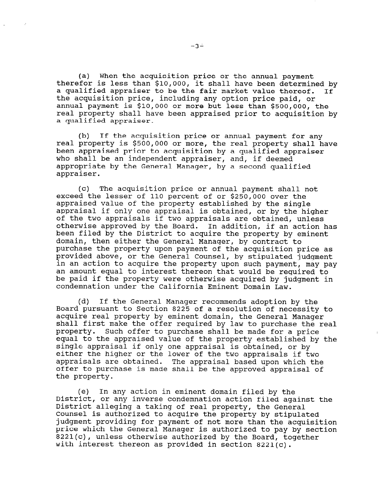(a) When the acquisition price or the annual payment therefor is less than \$10,000, it shall have been determined by a qualified appraiser to be the fair market value thereof. If the acquisition price, including any option price paid, or annual payment is \$10,000 or more but less than \$500,000, the real property shall have been appraised prior to acquisition by a qualified appraiser.

(b) If the acquisition price or annual payment for any real property is \$500,000 or more, the real property shall have been appraised prior to acquisition by a qualified appraiser who shall be an independent appraiser, and, if deemed appropriate by the General Manager, by a second qualified appraiser.

(c) The acquisition price or annual payment shall not exceed the lesser of 110 percent of or \$250,000 over the appraised value of the property established by the single appraisal if only one appraisal is obtained, or by the higher of the two appraisals if two appraisals are obtained, unless otherwise approved by the Board. In addition, if an action has been filed by the District to acquire the property by eminent domain, then either the General Manager, by contract to purchase the property upon payment of the acquisition price as provided above, or the General Counsel, by stipulated judgment in an action to acquire the property upon such payment, may pay an amount equal to interest thereon that would be required to be paid if the property were otherwise acquired by judgment in condemnation under the California Eminent Domain Law.

(d) If the General Manager recommends adoption by the Board pursuant to Section 8225 of a resolution of necessity to acquire real property by eminent domain, the General Manager acquire rear property by eminent aomain, the general manager<br>chall first make the offer required by law to purchase the rea shall first make the offer required by law to purchase the real property. Such offer to purchase shall be made for a price equal to the appraised value of the property established by the single appraisal if only one appraisal is obtained, or by single applaisal it only one applaisal is obtained, of by either the higher or the lower of the two appraisals if two<br>appraisals are obtained. The appraisal based upon which the appraisals are obtained. The appraisal based upon which the the property.

(e) In any action in eminent domain filed by the  $\mathbf{f}$ District, or any inverse condemnation action filed against the District, or any inverse condemnation action filed against the District alleging a taking of real property, the General Counsel is authorized to acquire the property by stipulated judgment providing for payment of not more than the acquisition price which the General Manager is authorized to pay by section 8221(c), unless otherwise authorized by the Board, together with interest thereon as provided in section 8221(c).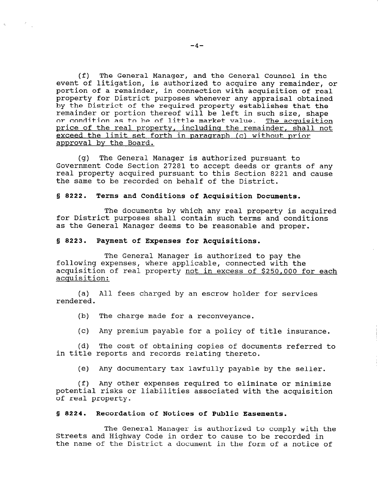(f) The General Manager, and the General Counsel in the event of litigation, is authorized to acquire any remainder, or portion of a remainder, in connection with acquisition of real property for District purposes whenever any appraisal obtained by the District of the required property establishes that the remainder or portion thereof will be left in such size, shape or condition as to be of little market value. The acquisition price of the real property, including the remainder, shall not exceed the limit set forth in paragraph (c) without prior approval by the Board.

(g) The General Manager is authorized pursuant to Government Code Section 27281 to accept deeds or grants of any real property acquired pursuant to this Section 8221 and cause the same to be recorded on behalf of the District.

## 5 8222. Terms and Conditions of Acquisition Documents.

The documents by which any real property is acquired for District purposes shall contain such terms and conditions as the General Manager deems to be reasonable and proper.

## 5 8223. Payment of Expenses for Acquisitions.

The General Manager is authorized to pay the following expenses, where applicable, connected with the acquisition of real property not in excess of \$250,000 for each acquisition:

(a) All fees charged by an escrow holder for services rendered.

(b) The charge made for a reconveyance.

(c) Any premium payable for a policy of title insurance.

(d) The cost of obtaining copies of documents referred to in title reports and records relating thereto.

(e) Any documentary tax lawfully payable by the seller.

(f) Any other expenses required to eliminate or minimize potential risks or liabilities associated with the activities associated with the activities associated with the activities of  $\mathcal{L}$ potential risks

#### § 8224. Recordation of Notices of Public Easements.

The General Manager is authorized to comply with the The General Manager is authorized to comply with Streets and Highway Code in order to cause to be recorded in<br>the name of the District a document in the form of a notice of

 $\mathbf{e}^{(1)}$  and  $\mathbf{e}^{(2)}$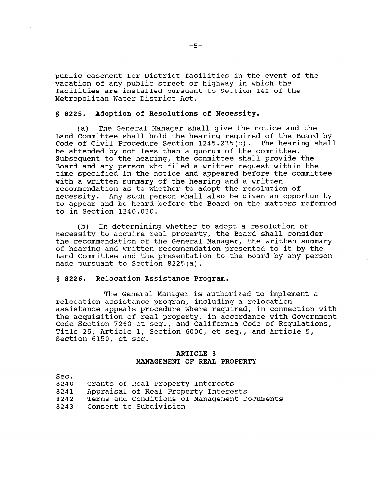public easement for District facilities in the event of the vacation of any public street or highway in which the facilities are installed pursuant to Section 142 of the Metropolitan Water District Act.

## 8 8225. Adoption of Resolutions of Necessity.

(a) The General Manager shall give the notice and the Land Committee shall hold the hearing required of the Board by Code of Civil Procedure Section 1245.235(c). The hearing shall be attended by not less than a quorum of the committee. Subsequent to the hearing, the committee shall provide the Board and any person who filed a written request within the time specified in the notice and appeared before the committee with a written summary of the hearing and a written recommendation as to whether to adopt the resolution of necessity. Any such person shall also be given an opportunity to appear and be heard before the Board on the matters referred to in Section 1240.030.

(b) In determining whether to adopt a resolution of necessity to acquire real property, the Board shall consider the recommendation of the General Manager, the written summary of hearing and written recommendation presented to it by the Land Committee and the presentation to the Board by any person made pursuant to Section 8225(a).

## 5 8226. Relocation Assistance Program.

The General Manager is authorized to implement a relocation assistance program, including a relocation assistance appeals procedure where required, in connection with the acquisition of real property, in accordance with Government Code Section 7260 et seq., and California Code of Regulations, Title 25, Article 1, Section 6000, et seq., and Article 5, Section 6150, et seq.

# ARTICLE 3 MANAGEMENT OF REAL PROPERTY

| Sec. |                                              |
|------|----------------------------------------------|
| 8240 | Grants of Real Property Interests            |
| 8241 | Appraisal of Real Property Interests         |
| 8242 | Terms and Conditions of Management Documents |
| 8243 | Consent to Subdivision                       |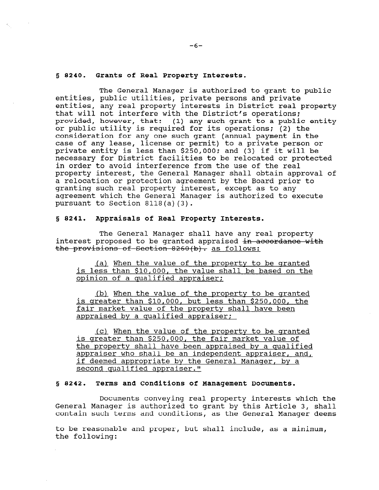#### 5 8240. Grants of Real Property Interests.

The General Manager is authorized to grant to public entities, public utilities, private persons and private entities, any real property interests in District real property that will not interfere with the District's operations; provided, however, that: (1) any such grant to a public entity or public utility is required for its operations; (2) the consideration for any one such grant (annual payment in the case of any lease, license or permit) to a private person or private entity is less than \$250,000; and (3) if it will be necessary for District facilities to be relocated or protected in order to avoid interference from the use of the real property interest, the General Manager shall obtain approval of a relocation or protection agreement by the Board prior to granting such real property interest, except as to any agreement which the General Manager is authorized to execute pursuant to Section 8118(a)(3).

#### S 8241. Appraisals of Real Property Interests.

The General Manager shall have any real property interest proposed to be granted appraised <del>in accordance with</del><br>the provisions of Section 8260(b). as follows:

(a) When the value of the mropertv to be granted is less than \$10,000, the value shall be based on the opinion of a qualified appraiser;

(b) When the value of the property to be granted is greater than \$10,000, but less than \$250,000, the fair market value of the property shall have been appraised by a qualified appraiser;

(c) When the value of the property to be qranted is greater than \$250,000, the fair market value of the property shall have been appraised by a qualified approperty shall have been appraised by a qualified appraiser who shall be an independent appraiser, and,<br>if deemed appropriate by the General Manager, by a second qualified appraiser."

## 5 8242. Terms and Conditions of Management Documents.

Documents conveying real property interests which the Bocuments conveying real property interests which the General Manager is authorized to grant by this Article 3, Shall<br>reptain such terms and conditions, as the General Manager deems

to be reasonable and proper, but shall include, as a minimum, to be reaso